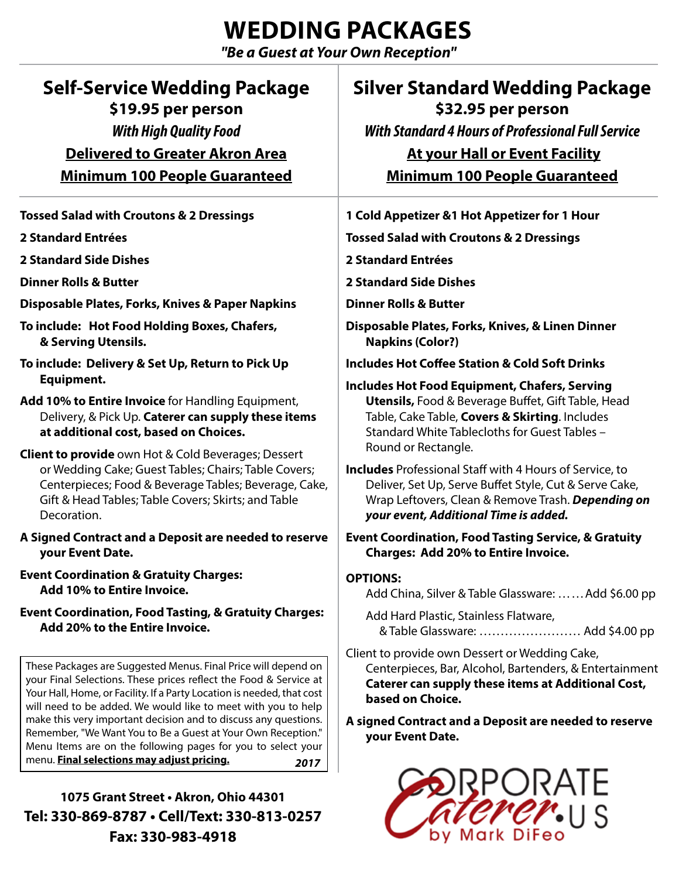## **WEDDING PACKAGES**

*"Be a Guest at Your Own Reception"*

| <b>Self-Service Wedding Package</b><br>\$19.95 per person                                                                                                                                                                                                                                                                                                                                                                                                                         | <b>Silver Standard Wedding Package</b><br>\$32.95 per person                                                                                                                                                                                                            |
|-----------------------------------------------------------------------------------------------------------------------------------------------------------------------------------------------------------------------------------------------------------------------------------------------------------------------------------------------------------------------------------------------------------------------------------------------------------------------------------|-------------------------------------------------------------------------------------------------------------------------------------------------------------------------------------------------------------------------------------------------------------------------|
| <b>With High Quality Food</b>                                                                                                                                                                                                                                                                                                                                                                                                                                                     | <b>With Standard 4 Hours of Professional Full Service</b>                                                                                                                                                                                                               |
| <b>Delivered to Greater Akron Area</b><br><b>Minimum 100 People Guaranteed</b>                                                                                                                                                                                                                                                                                                                                                                                                    | <b>At your Hall or Event Facility</b><br><b>Minimum 100 People Guaranteed</b>                                                                                                                                                                                           |
|                                                                                                                                                                                                                                                                                                                                                                                                                                                                                   |                                                                                                                                                                                                                                                                         |
| 2 Standard Entrées                                                                                                                                                                                                                                                                                                                                                                                                                                                                | <b>Tossed Salad with Croutons &amp; 2 Dressings</b>                                                                                                                                                                                                                     |
| <b>2 Standard Side Dishes</b>                                                                                                                                                                                                                                                                                                                                                                                                                                                     | 2 Standard Entrées                                                                                                                                                                                                                                                      |
| <b>Dinner Rolls &amp; Butter</b>                                                                                                                                                                                                                                                                                                                                                                                                                                                  | <b>2 Standard Side Dishes</b>                                                                                                                                                                                                                                           |
| Disposable Plates, Forks, Knives & Paper Napkins                                                                                                                                                                                                                                                                                                                                                                                                                                  | <b>Dinner Rolls &amp; Butter</b>                                                                                                                                                                                                                                        |
| To include: Hot Food Holding Boxes, Chafers,<br>& Serving Utensils.                                                                                                                                                                                                                                                                                                                                                                                                               | Disposable Plates, Forks, Knives, & Linen Dinner<br><b>Napkins (Color?)</b>                                                                                                                                                                                             |
| To include: Delivery & Set Up, Return to Pick Up                                                                                                                                                                                                                                                                                                                                                                                                                                  | <b>Includes Hot Coffee Station &amp; Cold Soft Drinks</b>                                                                                                                                                                                                               |
| Equipment.<br>Add 10% to Entire Invoice for Handling Equipment,<br>Delivery, & Pick Up. Caterer can supply these items<br>at additional cost, based on Choices.                                                                                                                                                                                                                                                                                                                   | <b>Includes Hot Food Equipment, Chafers, Serving</b><br><b>Utensils, Food &amp; Beverage Buffet, Gift Table, Head</b><br>Table, Cake Table, Covers & Skirting. Includes<br>Standard White Tablecloths for Guest Tables -                                                |
| <b>Client to provide</b> own Hot & Cold Beverages; Dessert<br>or Wedding Cake; Guest Tables; Chairs; Table Covers;<br>Centerpieces; Food & Beverage Tables; Beverage, Cake,<br>Gift & Head Tables; Table Covers; Skirts; and Table<br>Decoration.                                                                                                                                                                                                                                 | Round or Rectangle.<br><b>Includes</b> Professional Staff with 4 Hours of Service, to<br>Deliver, Set Up, Serve Buffet Style, Cut & Serve Cake,<br>Wrap Leftovers, Clean & Remove Trash. Depending on<br>your event, Additional Time is added.                          |
| A Signed Contract and a Deposit are needed to reserve<br>your Event Date.                                                                                                                                                                                                                                                                                                                                                                                                         | <b>Event Coordination, Food Tasting Service, &amp; Gratuity</b><br><b>Charges: Add 20% to Entire Invoice.</b>                                                                                                                                                           |
| <b>Event Coordination &amp; Gratuity Charges:</b><br>Add 10% to Entire Invoice.                                                                                                                                                                                                                                                                                                                                                                                                   | <b>OPTIONS:</b><br>Add China, Silver & Table Glassware: Add \$6.00 pp                                                                                                                                                                                                   |
| <b>Event Coordination, Food Tasting, &amp; Gratuity Charges:</b><br>Add 20% to the Entire Invoice.                                                                                                                                                                                                                                                                                                                                                                                | Add Hard Plastic, Stainless Flatware,<br>& Table Glassware:  Add \$4.00 pp                                                                                                                                                                                              |
| These Packages are Suggested Menus. Final Price will depend on<br>your Final Selections. These prices reflect the Food & Service at<br>Your Hall, Home, or Facility. If a Party Location is needed, that cost<br>will need to be added. We would like to meet with you to help<br>make this very important decision and to discuss any questions.<br>Remember, "We Want You to Be a Guest at Your Own Reception."<br>Menu Items are on the following pages for you to select your | Client to provide own Dessert or Wedding Cake,<br>Centerpieces, Bar, Alcohol, Bartenders, & Entertainment<br><b>Caterer can supply these items at Additional Cost,</b><br>based on Choice.<br>A signed Contract and a Deposit are needed to reserve<br>your Event Date. |
| menu. Final selections may adjust pricing.<br>2017<br>1075 Grant Street . Akron, Ohio 44301<br>Tel: 330-869-8787 . Cell/Text: 330-813-0257<br>Fax: 330-983-4918                                                                                                                                                                                                                                                                                                                   | JRAIE                                                                                                                                                                                                                                                                   |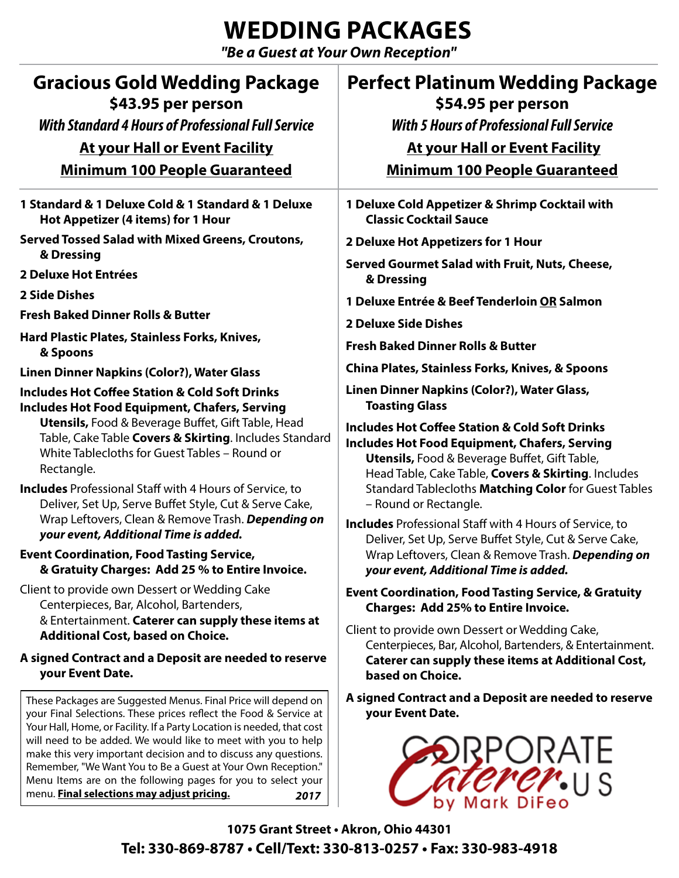# **WEDDING PACKAGES**

*"Be a Guest at Your Own Reception"*

| <b>Gracious Gold Wedding Package</b><br>\$43.95 per person<br><b>With Standard 4 Hours of Professional Full Service</b><br><b>At your Hall or Event Facility</b><br><b>Minimum 100 People Guaranteed</b>                                                                                                                                                                                                                                                                                                                                                                                                                                                                                                                                                                                                                                                                                                                                                                          | <b>Perfect Platinum Wedding Package</b><br>\$54.95 per person<br><b>With 5 Hours of Professional Full Service</b><br><b>At your Hall or Event Facility</b><br><b>Minimum 100 People Guaranteed</b>                                                                                                                                                                                                                                                                                                                                                                                                                                                                                                                                                                                                                                                                                                                                          |
|-----------------------------------------------------------------------------------------------------------------------------------------------------------------------------------------------------------------------------------------------------------------------------------------------------------------------------------------------------------------------------------------------------------------------------------------------------------------------------------------------------------------------------------------------------------------------------------------------------------------------------------------------------------------------------------------------------------------------------------------------------------------------------------------------------------------------------------------------------------------------------------------------------------------------------------------------------------------------------------|---------------------------------------------------------------------------------------------------------------------------------------------------------------------------------------------------------------------------------------------------------------------------------------------------------------------------------------------------------------------------------------------------------------------------------------------------------------------------------------------------------------------------------------------------------------------------------------------------------------------------------------------------------------------------------------------------------------------------------------------------------------------------------------------------------------------------------------------------------------------------------------------------------------------------------------------|
| 1 Standard & 1 Deluxe Cold & 1 Standard & 1 Deluxe<br>Hot Appetizer (4 items) for 1 Hour<br><b>Served Tossed Salad with Mixed Greens, Croutons,</b><br>& Dressing<br>2 Deluxe Hot Entrées<br><b>2 Side Dishes</b><br><b>Fresh Baked Dinner Rolls &amp; Butter</b><br>Hard Plastic Plates, Stainless Forks, Knives,<br>& Spoons<br><b>Linen Dinner Napkins (Color?), Water Glass</b><br><b>Includes Hot Coffee Station &amp; Cold Soft Drinks</b><br><b>Includes Hot Food Equipment, Chafers, Serving</b><br><b>Utensils, Food &amp; Beverage Buffet, Gift Table, Head</b><br>Table, Cake Table Covers & Skirting. Includes Standard<br>White Tablecloths for Guest Tables - Round or<br>Rectangle.<br><b>Includes</b> Professional Staff with 4 Hours of Service, to<br>Deliver, Set Up, Serve Buffet Style, Cut & Serve Cake,<br>Wrap Leftovers, Clean & Remove Trash. Depending on<br>your event, Additional Time is added.<br><b>Event Coordination, Food Tasting Service,</b> | 1 Deluxe Cold Appetizer & Shrimp Cocktail with<br><b>Classic Cocktail Sauce</b><br>2 Deluxe Hot Appetizers for 1 Hour<br>Served Gourmet Salad with Fruit, Nuts, Cheese,<br>& Dressing<br>1 Deluxe Entrée & Beef Tenderloin OR Salmon<br>2 Deluxe Side Dishes<br><b>Fresh Baked Dinner Rolls &amp; Butter</b><br>China Plates, Stainless Forks, Knives, & Spoons<br>Linen Dinner Napkins (Color?), Water Glass,<br><b>Toasting Glass</b><br><b>Includes Hot Coffee Station &amp; Cold Soft Drinks</b><br>Includes Hot Food Equipment, Chafers, Serving<br><b>Utensils, Food &amp; Beverage Buffet, Gift Table,</b><br>Head Table, Cake Table, Covers & Skirting. Includes<br>Standard Tablecloths Matching Color for Guest Tables<br>- Round or Rectangle.<br><b>Includes</b> Professional Staff with 4 Hours of Service, to<br>Deliver, Set Up, Serve Buffet Style, Cut & Serve Cake,<br>Wrap Leftovers, Clean & Remove Trash. Depending on |
| & Gratuity Charges: Add 25 % to Entire Invoice.<br>Client to provide own Dessert or Wedding Cake<br>Centerpieces, Bar, Alcohol, Bartenders,<br>& Entertainment. Caterer can supply these items at<br><b>Additional Cost, based on Choice.</b><br>A signed Contract and a Deposit are needed to reserve<br>your Event Date.<br>These Packages are Suggested Menus. Final Price will depend on<br>your Final Selections. These prices reflect the Food & Service at<br>Your Hall, Home, or Facility. If a Party Location is needed, that cost<br>will need to be added. We would like to meet with you to help<br>make this very important decision and to discuss any questions.<br>Remember, "We Want You to Be a Guest at Your Own Reception."<br>Menu Items are on the following pages for you to select your<br>menu. Final selections may adjust pricing.<br>2017                                                                                                             | your event, Additional Time is added.<br><b>Event Coordination, Food Tasting Service, &amp; Gratuity</b><br><b>Charges: Add 25% to Entire Invoice.</b><br>Client to provide own Dessert or Wedding Cake,<br>Centerpieces, Bar, Alcohol, Bartenders, & Entertainment.<br>Caterer can supply these items at Additional Cost,<br>based on Choice.<br>A signed Contract and a Deposit are needed to reserve<br>your Event Date.<br>ORATE                                                                                                                                                                                                                                                                                                                                                                                                                                                                                                        |

**1075 Grant Street • Akron, Ohio 44301 Tel: 330-869-8787 • Cell/Text: 330-813-0257 • Fax: 330-983-4918**